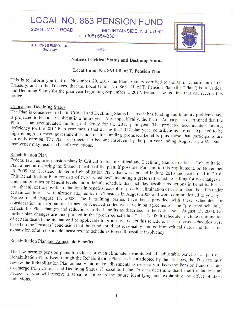# LOCAL NO. 863 PENSION FUND

**HALL AND AND AN** 

MOUNTAINSIDE, N.J. 07092 Tel: (908) 654-3361

ALPHONSE RISPOLI, JR. Secretary

**209 SUMMIT ROAD** 



Notice of Critical Status and Declining Status

Local Union No. 863 I.B. of T. Pension Plan

This is to inform you that on November 29, 2017 the Plan Actuary certified to the U.S. Department of the Treasury, and to the Trustees, that the Local Union No. 863 I.B. of T. Pension Plan (the "Plan") is in Critical and Declining Status for the plan year beginning September 1, 2017. Federal law requires that you receive this notice.

### Critical and Declining Status

The Plan is considered to be in Critical and Declining Status because it has funding and liquidity problems, and is projected to become insolvent in a future year. More specifically, the Plan's Actuary has determined that the Plan has an accumulated funding deficiency for the 2017 plan year. The projected accumulated funding deficiency for the 2017 Plan year means that during the 2017 plan year, contributions are not expected to be high enough to meet government standards for funding promised benefits plus those that participants are currently earning. The Plan is projected to become insolvent by the plan year ending August 31, 2025. Such insolvency may result in benefit reductions.

#### Rehabilitation Plan

Federal law requires pension plans in Critical Status or Critical and Declining Status to adopt a Rehabilitation Plan aimed at restoring the financial health of the plan, if possible. Pursuant to this requirement, on November 25, 2009, the Trustees adopted a Rehabilitation Plan, that was updated in June 2013 and reaffirmed in 2016. This Rehabilitation Plan consists of two "schedules", including a preferred schedule calling for no changes in contribution rates or benefit levels and a default schedule that includes possible reductions in benefits. Please note that all of the possible reductions in benefits, except for possible elimination of certain death benefits under certain conditions, were already adopted by the Trustees in August 2008 and were communicated to you by a Notice dated August 15, 2008. The bargaining parties have been provided with these schedules for consideration in negotiations in new or renewed collective bargaining agreements. The "preferred schedule" reflects the Plan changes and reductions in the benefits as described in the Notice sent August 15, 2008. No further plan changes are incorporated in the "preferred schedule." The "default schedule" includes elimination of certain death benefits that will be applicable to groups who elect this schedule. These revised schedules were based on the Trustees' conclusion that the Fund could not reasonably emerge from critical status and that, upon exhaustion of all reasonable measures, the schedules forestall possible insolvency.

## Rehabilitation Plan and Adjustable Benefits

The law permits pension plans to reduce, or even eliminate, benefits called "adjustable benefits" as part of a Rehabilitation Plan. Even though the Rehabilitation Plan has been adopted by the Trustees, the Trustees must review the Rehabilitation Plan annually and make adjustments as necessary to keep the Pension Fund on track to emerge from Critical and Declining Status, if possible. If the Trustees determine that benefit reductions are necessary, you will receive a separate notice in the future identifying and explaining the effect of those reductions.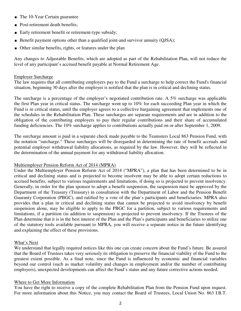- The 10-Year Certain guarantee
- Post-retirement death benefits;
- Early retirement benefit or retirement-type subsidy;
- Benefit payment options other than a qualified joint-and survivor annuity (QJSA);
- Other similar benefits, rights, or features under the plan

Any changes to Adjustable Benefits, which are adopted as part of the Rehabilitation Plan, will not reduce the level of any participant's accrued benefit payable at Normal Retirement Age.

#### Employer Surcharge

The law requires that all contributing employers pay to the Fund a surcharge to help correct the Fund's financial situation, beginning 30 days after the employer is notified that the plan is in critical and declining status.

The surcharge is a percentage of the employer's negotiated contribution rate. A 5% surcharge was applicable the first Plan year in critical status. The surcharge went up to 10% for each succeeding Plan year in which the Fund is in critical status, until the employer agrees to a collective bargaining agreement that implements one of the schedules in the Rehabilitation Plan. These surcharges are separate requirements and are in addition to the obligation of the contributing employers to pay their regular contributions and their share of accumulated funding deficiencies. The 10% surcharge applies to contributions actually paid on or after September 1, 2009.

The surcharge amount is paid in a separate check made payable to the Teamsters Local 863 Pension Fund, with the notation "surcharge." These surcharges will be disregarded in determining the rate of benefit accruals and potential employer withdrawal liability allocations, as required by the law. However, they will be reflected in the determination of the annual payment for any withdrawal liability allocation.

#### Multiemployer Pension Reform Act of 2014 (MPRA)

Under the Multiemployer Pension Reform Act of 2014 ("MPRA"), a plan that has been determined to be in critical and declining status and is projected to become insolvent may be able to adopt certain reductions to accrued benefits, subject to various requirements and limitations, if doing so is projected to prevent insolvency. Generally, in order for the plan sponsor to adopt a benefit suspension, the suspension must be approved by the Department of the Treasury (Treasury) in consultation with the Department of Labor and the Pension Benefit Guaranty Corporation (PBGC), and ratified by a vote of the plan's participants and beneficiaries. MPRA also provides that a plan in critical and declining status that cannot be projected to avoid insolvency by benefit suspension alone, may be eligible to apply to the PBGC for a partition, subject to various requirements and limitations, if a partition (in addition to suspension) is projected to prevent insolvency. If the Trustees of the Plan determine that it is in the best interest of the Plan and the Plan's participants and beneficiaries to utilize one of the statutory tools available pursuant to MPRA, you will receive a separate notice in the future identifying and explaining the effect of these provisions.

#### What's Next

We understand that legally required notices like this one can create concern about the Fund's future. Be assured that the Board of Trustees takes very seriously its obligation to preserve the financial viability of the Fund to the greatest extent possible. As a final note, since the Fund is influenced by economic and financial variables beyond our control (such as market volatility and changes in employment and/or the number of contributing employers), unexpected developments can affect the Fund's status and any future corrective actions needed.

#### Where to Get More Information

You have the right to receive a copy of the complete Rehabilitation Plan from the Pension Fund upon request. For more information about this Notice, you may contact the Board of Trustees, Local Union No. 863 I.B.T.